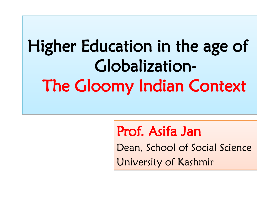# Higher Education in the age of Higher Education in the age of Globalization-Globalization-The Gloomy Indian Context The Gloomy Indian Context

### Prof. Asifa Jan Prof. Asifa Jan

Dean, School of Social Science Dean, School of Social Science University of Kashmir University of Kashmir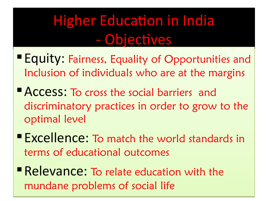# Higher Education in India - Objectives

- Equity: Fairness, Equality of Opportunities and Equity: Fairness, Equality of Opportunities and Inclusion of individuals who are at the margins Inclusion of individuals who are at the margins
- Access: To cross the social barriers and Access: To cross the social barriers and discriminatory practices in order to grow to the discriminatory practices in order to grow to the optimal level optimal level
- Excellence: To match the world standards in Excellence: To match the world standards in terms of educational outcomes terms of educational outcomes
- Relevance: To relate education with the Relevance: To relate education with the mundane problems of social life mundane problems of social life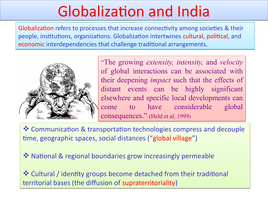# Globalization and India

Globalization refers to processes that increase connectivity among societies & their Globalization refers to processes that increase connectivity among societies & their people, institutions, organizations. Globalization intertwines cultural, political, and people, institutions, organizations. Globalization intertwines cultural, political, and economic interdependencies that challenge traditional arrangements. economic interdependencies that challenge traditional arrangements.



"The growing *extensity, intensity,* and *velocity* "The growing *extensity, intensity,* and *velocity* of global interactions can be associated with of global interactions can be associated with their deepening *impact* such that the effects of their deepening *impact* such that the effects of distant events can be highly significant distant events can be highly significant elsewhere and specific local developments can elsewhere and specific local developments can come to have considerable global come to have considerable global consequences." (Held et al. 1999) consequences." (Held et al. 1999)

 Communication & transportation technologies compress and decouple Communication & transportation technologies compress and decouple time, geographic spaces, social distances ("global village") time, geographic spaces, social distances ("global village")

National & regional boundaries grow increasingly permeable National & regional boundaries grow increasingly permeable

 Cultural / identity groups become detached from their traditional Cultural / identity groups become detached from their traditional territorial bases (the diffusion of supraterritoriality) territorial bases (the diffusion of supraterritoriality)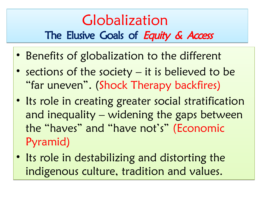#### Globalization Globalization The Elusive Goals of Equity & Access

- Benefits of globalization to the different Benefits of globalization to the different
- sections of the society it is believed to be sections of the society it is believed to be "far uneven". (Shock Therapy backfires) "far uneven". (Shock Therapy backfires)
- Its role in creating greater social stratification Its role in creating greater social stratification and inequality – widening the gaps between and inequality – widening the gaps between the "haves" and "have not's" (Economic the "haves" and "have not's" (Economic Pyramid) Pyramid)
- Its role in destabilizing and distorting the Its role in destabilizing and distorting the indigenous culture, tradition and values. indigenous culture, tradition and values.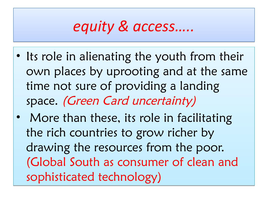#### *equity & access….. equity & access…..*

- Its role in alienating the youth from their Its role in alienating the youth from their own places by uprooting and at the same time not sure of providing a landing time not sure of providing a landing space. (Green Card uncertainty) space. (Green Card uncertainty)
- More than these, its role in facilitating More than these, its role in facilitating the rich countries to grow richer by the rich countries to grow richer by drawing the resources from the poor. drawing the resources from the poor. (Global South as consumer of clean and (Global South as consumer of clean and sophisticated technology) sophisticated technology)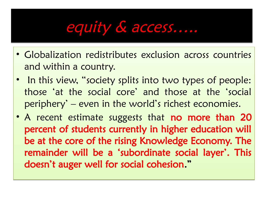### equity & access…..

- Globalization redistributes exclusion across countries Globalization redistributes exclusion across countries and within a country. and within a country.
- In this view, "society splits into two types of people: In this view, "society splits into two types of people: those 'at the social core' and those at the 'social those 'at the social core' and those at the 'social periphery' – even in the world's richest economies. periphery' – even in the world's richest economies.
- A recent estimate suggests that no more than 20 percent of students currently in higher education will percent of students currently in higher education will be at the core of the rising Knowledge Economy. The be at the core of the rising Knowledge Economy. The remainder will be a 'subordinate social layer'. This remainder will be a 'subordinate social layer'. This doesn't auger well for social cohesion." doesn't auger well for social cohesion."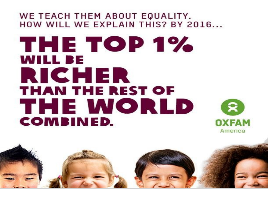#### WE TEACH THEM ABOUT EQUALITY. HOW WILL WE EXPLAIN THIS? BY 2016...

### THE TOP 1% **WILL BE** RICHER **THAN THE REST OF** THE WORLD **COMBINED.**

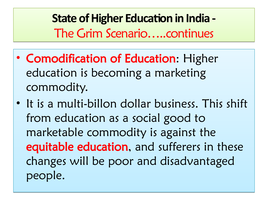**State of Higher Education in India - State of Higher Education in India -** The Grim Scenario…..continues The Grim Scenario…..continues

- Comodification of Education: Higher Comodification of Education: Higher education is becoming a marketing education is becoming a marketing commodity. commodity.
- It is a multi-billon dollar business. This shift It is a multi-billon dollar business. This shift from education as a social good to from education as a social good to marketable commodity is against the marketable commodity is against the equitable education, and sufferers in these changes will be poor and disadvantaged changes will be poor and disadvantaged people. people.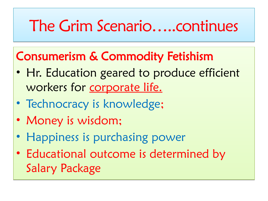# The Grim Scenario…..continues

#### Consumerism & Commodity Fetishism Consumerism & Commodity Fetishism

- Hr. Education geared to produce efficient Hr. Education geared to produce efficient workers for corporate life. workers for corporate life.
- Technocracy is knowledge; Technocracy is knowledge;
- Money is wisdom; Money is wisdom;
- Happiness is purchasing power Happiness is purchasing power
- Educational outcome is determined by Educational outcome is determined by Salary Package Salary Package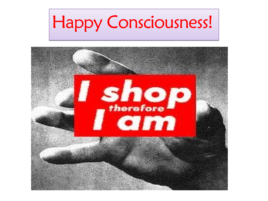# Happy Consciousness! Happy Consciousness!

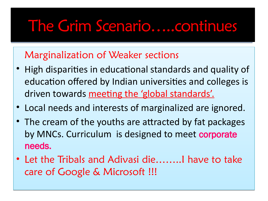#### Indian Higher Education- Indian Higher Education-*Issues* The Grim Scenario…..continues

#### Marginalization of Weaker sections Marginalization of Weaker sections

- High disparities in educational standards and quality of High disparities in educational standards and quality of education offered by Indian universities and colleges is education offered by Indian universities and colleges is driven towards meeting the 'global standards'. driven towards meeting the 'global standards'.
- Local needs and interests of marginalized are ignored. Local needs and interests of marginalized are ignored.
- The cream of the youths are attracted by fat packages The cream of the youths are attracted by fat packages by MNCs. Curriculum is designed to meet corporate needs. needs.
- Let the Tribals and Adivasi die……..I have to take Let the Tribals and Adivasi die……..I have to take care of Google & Microsoft !!! care of Google & Microsoft !!!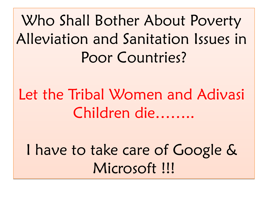Who Shall Bother About Poverty Who Shall Bother About Poverty Alleviation and Sanitation Issues in Alleviation and Sanitation Issues in Poor Countries? Poor Countries?

Let the Tribal Women and Adivasi Let the Tribal Women and Adivasi Children die…….. Children die……..

I have to take care of Google & I have to take care of Google & Microsoft !!! Microsoft !!!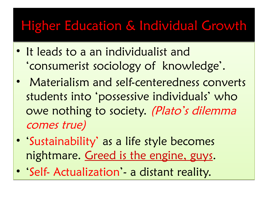#### Higher Education & Individual Growth

- It leads to a an individualist and It leads to a an individualist and 'consumerist sociology of knowledge'. 'consumerist sociology of knowledge'.
- Materialism and self-centeredness converts Materialism and self-centeredness converts students into 'possessive individuals' who students into 'possessive individuals' who owe nothing to society. (Plato's dilemma comes true) comes true)
- 'Sustainability' as a life style becomes 'Sustainability' as a life style becomes nightmare. Greed is the engine, guys. nightmare. Greed is the engine, guys.
- 'Self- Actualization'- a distant reality. 'Self- Actualization'- a distant reality.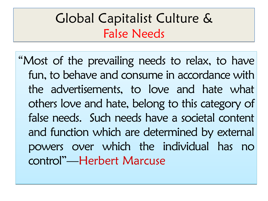#### Global Capitalist Culture & Global Capitalist Culture & False Needs False Needs

"Most of the prevailing needs to relax, to have "Most of the prevailing needs to relax, to have fun, to behave and consume in accordance with fun, to behave and consume in accordance with the advertisements, to love and hate what the advertisements, to love and hate what others love and hate, belong to this category of false needs. Such needs have a societal content false needs. Such needs have a societal content and function which are determined by external and function which are determined by external powers over which the individual has no control"—Herbert Marcuse control"—Herbert Marcuse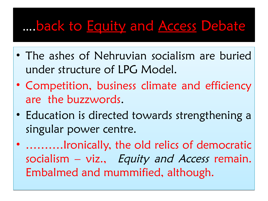#### ….back to Equity and Access Debate

- The ashes of Nehruvian socialism are buried The ashes of Nehruvian socialism are buried under structure of LPG Model. under structure of LPG Model.
- Competition, business climate and efficiency Competition, business climate and efficiency are the buzzwords. are the buzzwords.
- Education is directed towards strengthening a Education is directed towards strengthening a singular power centre. singular power centre.
- ..........Ironically, the old relics of democratic socialism – viz., Equity and Access remain. Embalmed and mummified, although. Embalmed and mummified, although.